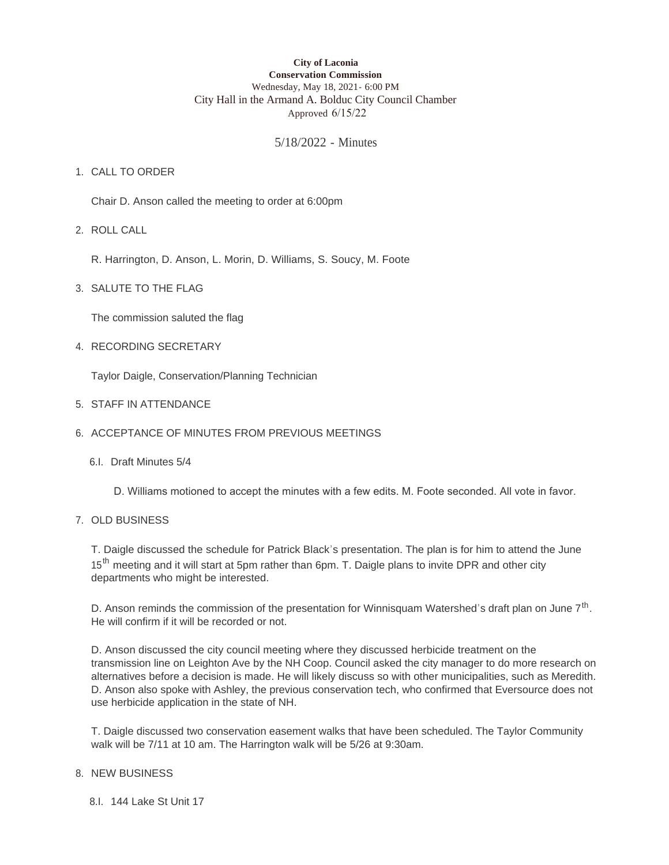#### **City of Laconia Conservation Commission** Wednesday, May 18, 2021- 6:00 PM City Hall in the Armand A. Bolduc City Council Chamber Approved 6/15/22

# 5/18/2022 - Minutes

# 1. CALL TO ORDER

Chair D. Anson called the meeting to order at 6:00pm

ROLL CALL 2.

R. Harrington, D. Anson, L. Morin, D. Williams, S. Soucy, M. Foote

3. SALUTE TO THE FLAG

The commission saluted the flag

4. RECORDING SECRETARY

Taylor Daigle, Conservation/Planning Technician

- STAFF IN ATTENDANCE 5.
- 6. ACCEPTANCE OF MINUTES FROM PREVIOUS MEETINGS
	- 6.I. Draft Minutes 5/4
		- D. Williams motioned to accept the minutes with a few edits. M. Foote seconded. All vote in favor.

### 7. OLD BUSINESS

T. Daigle discussed the schedule for Patrick Black's presentation. The plan is for him to attend the June 15<sup>th</sup> meeting and it will start at 5pm rather than 6pm. T. Daigle plans to invite DPR and other city departments who might be interested.

D. Anson reminds the commission of the presentation for Winnisquam Watershed's draft plan on June  $7<sup>th</sup>$ . He will confirm if it will be recorded or not.

D. Anson discussed the city council meeting where they discussed herbicide treatment on the transmission line on Leighton Ave by the NH Coop. Council asked the city manager to do more research on alternatives before a decision is made. He will likely discuss so with other municipalities, such as Meredith. D. Anson also spoke with Ashley, the previous conservation tech, who confirmed that Eversource does not use herbicide application in the state of NH.

T. Daigle discussed two conservation easement walks that have been scheduled. The Taylor Community walk will be 7/11 at 10 am. The Harrington walk will be 5/26 at 9:30am.

#### 8. NEW BUSINESS

8.I. 144 Lake St Unit 17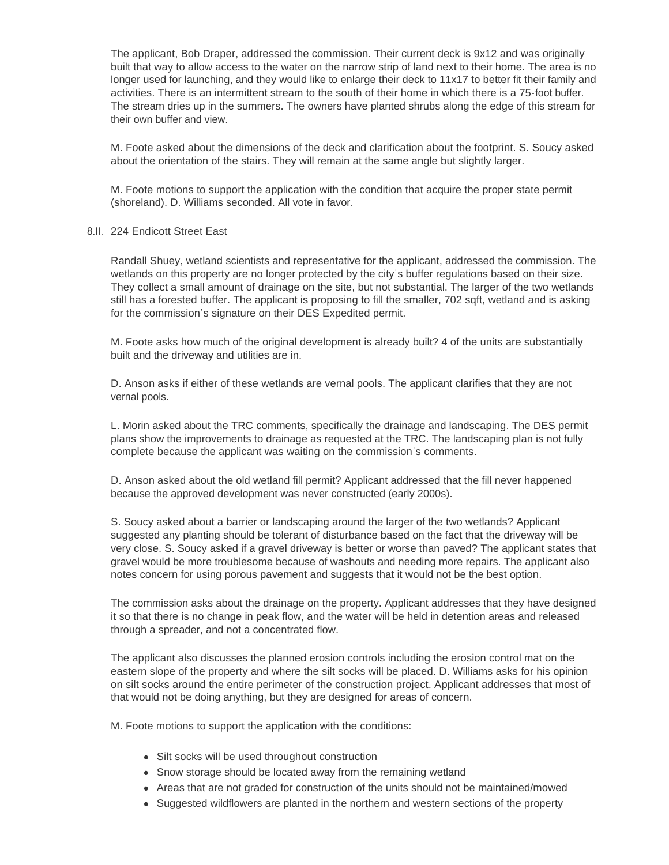The applicant, Bob Draper, addressed the commission. Their current deck is 9x12 and was originally built that way to allow access to the water on the narrow strip of land next to their home. The area is no longer used for launching, and they would like to enlarge their deck to 11x17 to better fit their family and activities. There is an intermittent stream to the south of their home in which there is a 75-foot buffer. The stream dries up in the summers. The owners have planted shrubs along the edge of this stream for their own buffer and view.

M. Foote asked about the dimensions of the deck and clarification about the footprint. S. Soucy asked about the orientation of the stairs. They will remain at the same angle but slightly larger.

M. Foote motions to support the application with the condition that acquire the proper state permit (shoreland). D. Williams seconded. All vote in favor.

#### 8.II. 224 Endicott Street East

Randall Shuey, wetland scientists and representative for the applicant, addressed the commission. The wetlands on this property are no longer protected by the city's buffer regulations based on their size. They collect a small amount of drainage on the site, but not substantial. The larger of the two wetlands still has a forested buffer. The applicant is proposing to fill the smaller, 702 sqft, wetland and is asking for the commission's signature on their DES Expedited permit.

M. Foote asks how much of the original development is already built? 4 of the units are substantially built and the driveway and utilities are in.

D. Anson asks if either of these wetlands are vernal pools. The applicant clarifies that they are not vernal pools.

L. Morin asked about the TRC comments, specifically the drainage and landscaping. The DES permit plans show the improvements to drainage as requested at the TRC. The landscaping plan is not fully complete because the applicant was waiting on the commission's comments.

D. Anson asked about the old wetland fill permit? Applicant addressed that the fill never happened because the approved development was never constructed (early 2000s).

S. Soucy asked about a barrier or landscaping around the larger of the two wetlands? Applicant suggested any planting should be tolerant of disturbance based on the fact that the driveway will be very close. S. Soucy asked if a gravel driveway is better or worse than paved? The applicant states that gravel would be more troublesome because of washouts and needing more repairs. The applicant also notes concern for using porous pavement and suggests that it would not be the best option.

The commission asks about the drainage on the property. Applicant addresses that they have designed it so that there is no change in peak flow, and the water will be held in detention areas and released through a spreader, and not a concentrated flow.

The applicant also discusses the planned erosion controls including the erosion control mat on the eastern slope of the property and where the silt socks will be placed. D. Williams asks for his opinion on silt socks around the entire perimeter of the construction project. Applicant addresses that most of that would not be doing anything, but they are designed for areas of concern.

M. Foote motions to support the application with the conditions:

- Silt socks will be used throughout construction
- Snow storage should be located away from the remaining wetland
- Areas that are not graded for construction of the units should not be maintained/mowed
- Suggested wildflowers are planted in the northern and western sections of the property